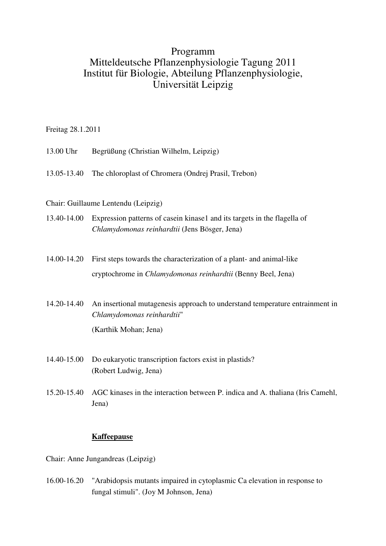## Programm Mitteldeutsche Pflanzenphysiologie Tagung 2011 Institut für Biologie, Abteilung Pflanzenphysiologie, Universität Leipzig

Freitag 28.1.2011

- 13.00 Uhr Begrüßung (Christian Wilhelm, Leipzig)
- 13.05-13.40 The chloroplast of Chromera (Ondrej Prasil, Trebon)

## Chair: Guillaume Lentendu (Leipzig)

- 13.40-14.00 Expression patterns of casein kinase1 and its targets in the flagella of *Chlamydomonas reinhardtii* (Jens Bösger, Jena)
- 14.00-14.20 First steps towards the characterization of a plant- and animal-like cryptochrome in *Chlamydomonas reinhardtii* (Benny Beel, Jena)
- 14.20-14.40 An insertional mutagenesis approach to understand temperature entrainment in *Chlamydomonas reinhardtii*" (Karthik Mohan; Jena)
- 14.40-15.00 Do eukaryotic transcription factors exist in plastids? (Robert Ludwig, Jena)
- 15.20-15.40 AGC kinases in the interaction between P. indica and A. thaliana (Iris Camehl, Jena)

## **Kaffeepause**

Chair: Anne Jungandreas (Leipzig)

16.00-16.20 "Arabidopsis mutants impaired in cytoplasmic Ca elevation in response to fungal stimuli". (Joy M Johnson, Jena)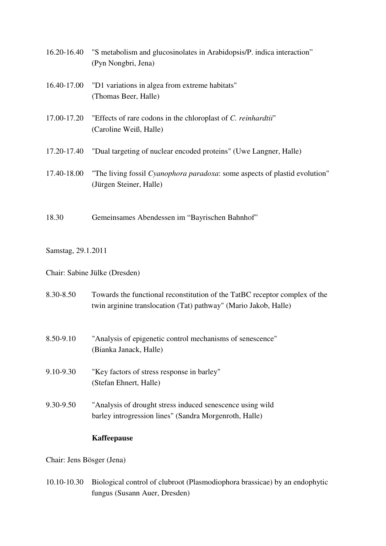| 16.20-16.40 | "S metabolism and glucosinolates in Arabidopsis/P. indica interaction" |
|-------------|------------------------------------------------------------------------|
|             | (Pyn Nongbri, Jena)                                                    |

- 16.40-17.00 "D1 variations in algea from extreme habitats" (Thomas Beer, Halle)
- 17.00-17.20 "Effects of rare codons in the chloroplast of *C. reinhardtii*" (Caroline Weiß, Halle)
- 17.20-17.40 "Dual targeting of nuclear encoded proteins" (Uwe Langner, Halle)
- 17.40-18.00 "The living fossil *Cyanophora paradoxa*: some aspects of plastid evolution" (Jürgen Steiner, Halle)
- 18.30 Gemeinsames Abendessen im "Bayrischen Bahnhof"

Samstag, 29.1.2011

Chair: Sabine Jülke (Dresden)

- 8.30-8.50 Towards the functional reconstitution of the TatBC receptor complex of the twin arginine translocation (Tat) pathway" (Mario Jakob, Halle)
- 8.50-9.10 "Analysis of epigenetic control mechanisms of senescence" (Bianka Janack, Halle)
- 9.10-9.30 "Key factors of stress response in barley" (Stefan Ehnert, Halle)
- 9.30-9.50 "Analysis of drought stress induced senescence using wild barley introgression lines" (Sandra Morgenroth, Halle)

## **Kaffeepause**

Chair: Jens Bösger (Jena)

10.10-10.30 Biological control of clubroot (Plasmodiophora brassicae) by an endophytic fungus (Susann Auer, Dresden)